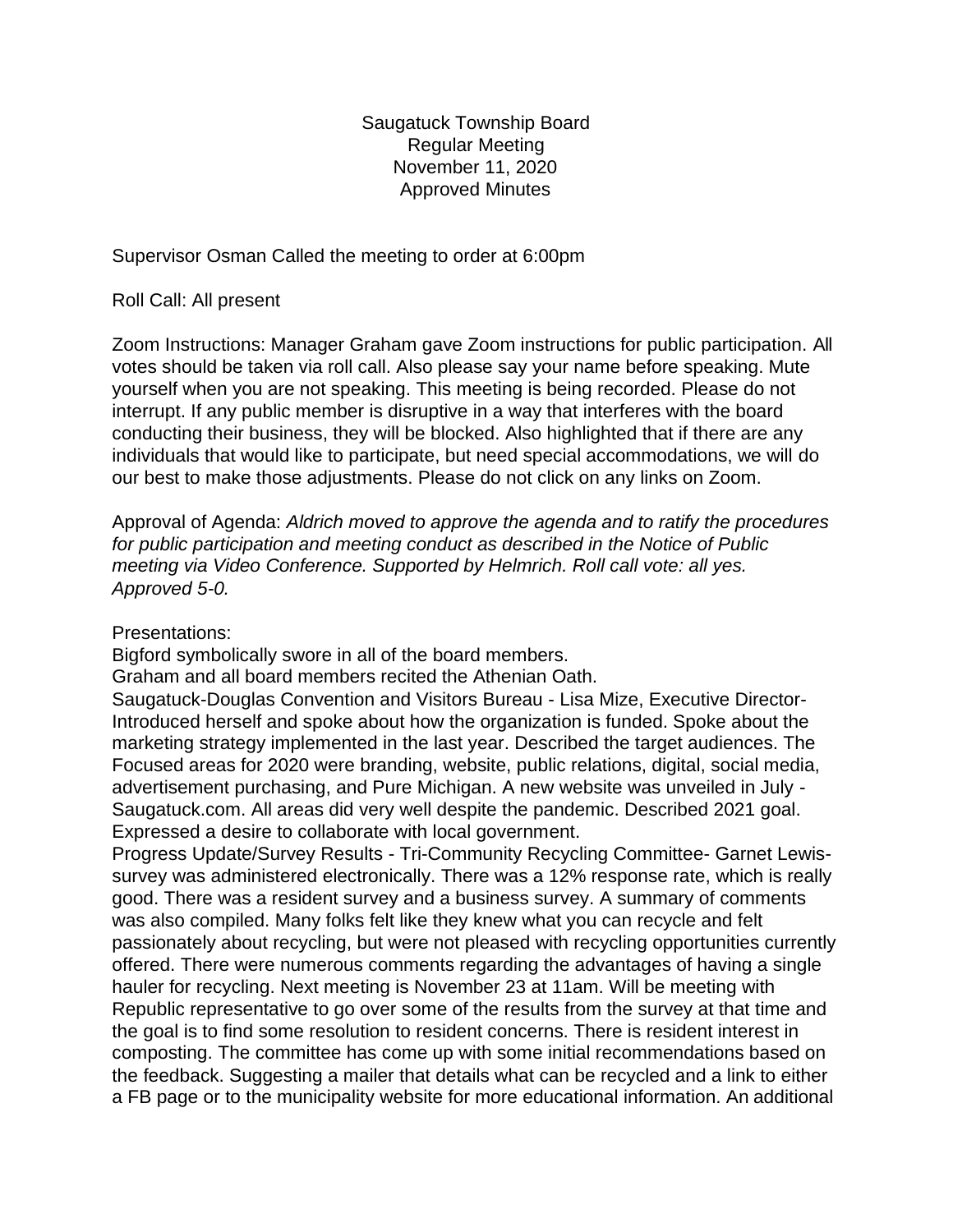Saugatuck Township Board Regular Meeting November 11, 2020 Approved Minutes

Supervisor Osman Called the meeting to order at 6:00pm

Roll Call: All present

Zoom Instructions: Manager Graham gave Zoom instructions for public participation. All votes should be taken via roll call. Also please say your name before speaking. Mute yourself when you are not speaking. This meeting is being recorded. Please do not interrupt. If any public member is disruptive in a way that interferes with the board conducting their business, they will be blocked. Also highlighted that if there are any individuals that would like to participate, but need special accommodations, we will do our best to make those adjustments. Please do not click on any links on Zoom.

Approval of Agenda: *Aldrich moved to approve the agenda and to ratify the procedures for public participation and meeting conduct as described in the Notice of Public meeting via Video Conference. Supported by Helmrich. Roll call vote: all yes. Approved 5-0.*

Presentations:

Bigford symbolically swore in all of the board members.

Graham and all board members recited the Athenian Oath.

Saugatuck-Douglas Convention and Visitors Bureau - Lisa Mize, Executive Director-Introduced herself and spoke about how the organization is funded. Spoke about the marketing strategy implemented in the last year. Described the target audiences. The Focused areas for 2020 were branding, website, public relations, digital, social media, advertisement purchasing, and Pure Michigan. A new website was unveiled in July - Saugatuck.com. All areas did very well despite the pandemic. Described 2021 goal. Expressed a desire to collaborate with local government.

Progress Update/Survey Results - Tri-Community Recycling Committee- Garnet Lewissurvey was administered electronically. There was a 12% response rate, which is really good. There was a resident survey and a business survey. A summary of comments was also compiled. Many folks felt like they knew what you can recycle and felt passionately about recycling, but were not pleased with recycling opportunities currently offered. There were numerous comments regarding the advantages of having a single hauler for recycling. Next meeting is November 23 at 11am. Will be meeting with Republic representative to go over some of the results from the survey at that time and the goal is to find some resolution to resident concerns. There is resident interest in composting. The committee has come up with some initial recommendations based on the feedback. Suggesting a mailer that details what can be recycled and a link to either a FB page or to the municipality website for more educational information. An additional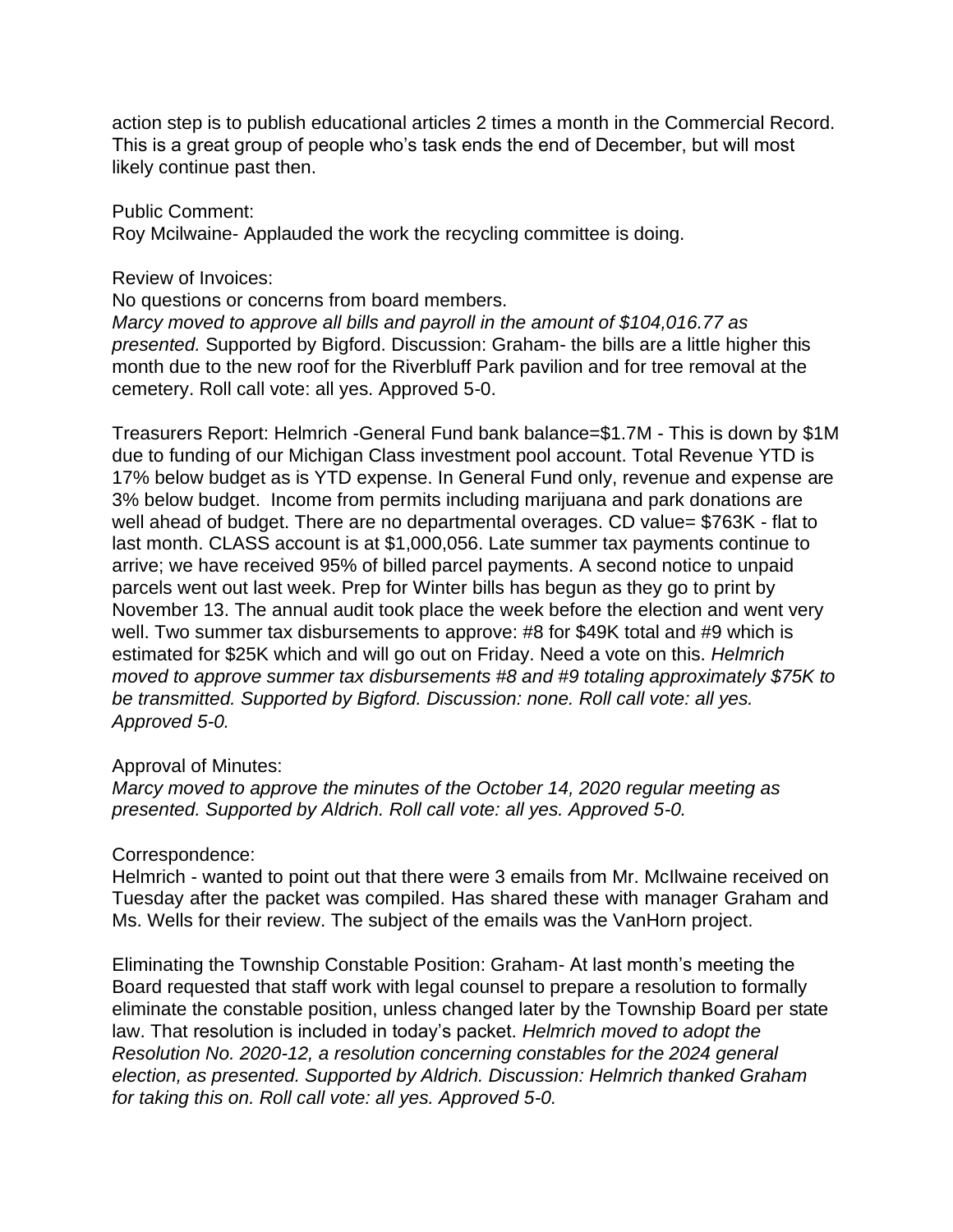action step is to publish educational articles 2 times a month in the Commercial Record. This is a great group of people who's task ends the end of December, but will most likely continue past then.

Public Comment:

Roy Mcilwaine- Applauded the work the recycling committee is doing.

Review of Invoices:

No questions or concerns from board members.

*Marcy moved to approve all bills and payroll in the amount of \$104,016.77 as presented.* Supported by Bigford. Discussion: Graham- the bills are a little higher this month due to the new roof for the Riverbluff Park pavilion and for tree removal at the cemetery. Roll call vote: all yes. Approved 5-0.

Treasurers Report: Helmrich -General Fund bank balance=\$1.7M - This is down by \$1M due to funding of our Michigan Class investment pool account. Total Revenue YTD is 17% below budget as is YTD expense. In General Fund only, revenue and expense are 3% below budget. Income from permits including marijuana and park donations are well ahead of budget. There are no departmental overages. CD value= \$763K - flat to last month. CLASS account is at \$1,000,056. Late summer tax payments continue to arrive; we have received 95% of billed parcel payments. A second notice to unpaid parcels went out last week. Prep for Winter bills has begun as they go to print by November 13. The annual audit took place the week before the election and went very well. Two summer tax disbursements to approve: #8 for \$49K total and #9 which is estimated for \$25K which and will go out on Friday. Need a vote on this. *Helmrich moved to approve summer tax disbursements #8 and #9 totaling approximately \$75K to be transmitted. Supported by Bigford. Discussion: none. Roll call vote: all yes. Approved 5-0.*

## Approval of Minutes:

*Marcy moved to approve the minutes of the October 14, 2020 regular meeting as presented. Supported by Aldrich. Roll call vote: all yes. Approved 5-0.*

Correspondence:

Helmrich - wanted to point out that there were 3 emails from Mr. McIlwaine received on Tuesday after the packet was compiled. Has shared these with manager Graham and Ms. Wells for their review. The subject of the emails was the VanHorn project.

Eliminating the Township Constable Position: Graham- At last month's meeting the Board requested that staff work with legal counsel to prepare a resolution to formally eliminate the constable position, unless changed later by the Township Board per state law. That resolution is included in today's packet. *Helmrich moved to adopt the Resolution No. 2020-12, a resolution concerning constables for the 2024 general election, as presented. Supported by Aldrich. Discussion: Helmrich thanked Graham for taking this on. Roll call vote: all yes. Approved 5-0.*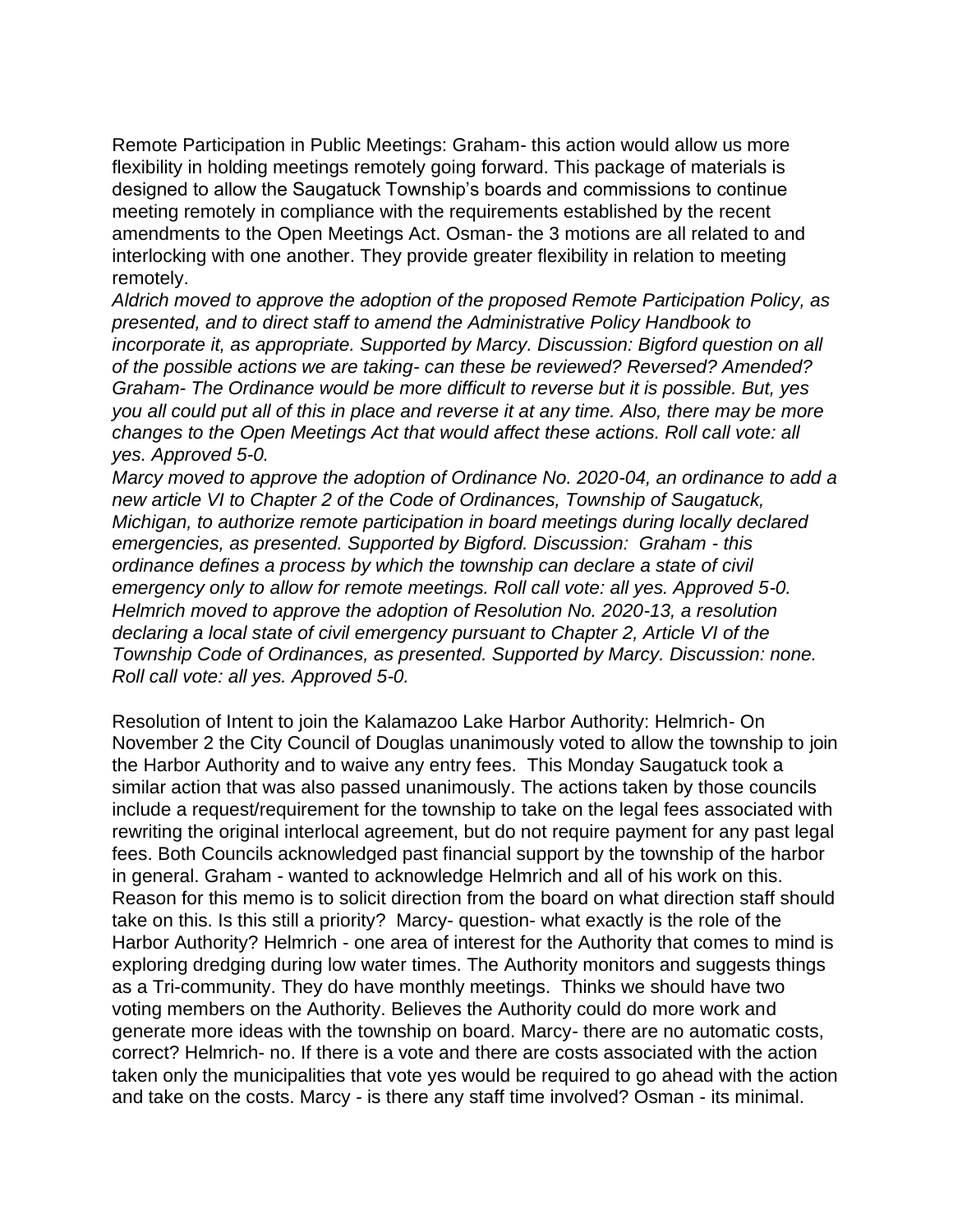Remote Participation in Public Meetings: Graham- this action would allow us more flexibility in holding meetings remotely going forward. This package of materials is designed to allow the Saugatuck Township's boards and commissions to continue meeting remotely in compliance with the requirements established by the recent amendments to the Open Meetings Act. Osman- the 3 motions are all related to and interlocking with one another. They provide greater flexibility in relation to meeting remotely.

*Aldrich moved to approve the adoption of the proposed Remote Participation Policy, as presented, and to direct staff to amend the Administrative Policy Handbook to incorporate it, as appropriate. Supported by Marcy. Discussion: Bigford question on all of the possible actions we are taking- can these be reviewed? Reversed? Amended? Graham- The Ordinance would be more difficult to reverse but it is possible. But, yes you all could put all of this in place and reverse it at any time. Also, there may be more changes to the Open Meetings Act that would affect these actions. Roll call vote: all yes. Approved 5-0.*

*Marcy moved to approve the adoption of Ordinance No. 2020-04, an ordinance to add a new article VI to Chapter 2 of the Code of Ordinances, Township of Saugatuck, Michigan, to authorize remote participation in board meetings during locally declared emergencies, as presented. Supported by Bigford. Discussion: Graham - this ordinance defines a process by which the township can declare a state of civil emergency only to allow for remote meetings. Roll call vote: all yes. Approved 5-0. Helmrich moved to approve the adoption of Resolution No. 2020-13, a resolution declaring a local state of civil emergency pursuant to Chapter 2, Article VI of the Township Code of Ordinances, as presented. Supported by Marcy. Discussion: none. Roll call vote: all yes. Approved 5-0.*

Resolution of Intent to join the Kalamazoo Lake Harbor Authority: Helmrich- On November 2 the City Council of Douglas unanimously voted to allow the township to join the Harbor Authority and to waive any entry fees. This Monday Saugatuck took a similar action that was also passed unanimously. The actions taken by those councils include a request/requirement for the township to take on the legal fees associated with rewriting the original interlocal agreement, but do not require payment for any past legal fees. Both Councils acknowledged past financial support by the township of the harbor in general. Graham - wanted to acknowledge Helmrich and all of his work on this. Reason for this memo is to solicit direction from the board on what direction staff should take on this. Is this still a priority? Marcy- question- what exactly is the role of the Harbor Authority? Helmrich - one area of interest for the Authority that comes to mind is exploring dredging during low water times. The Authority monitors and suggests things as a Tri-community. They do have monthly meetings. Thinks we should have two voting members on the Authority. Believes the Authority could do more work and generate more ideas with the township on board. Marcy- there are no automatic costs, correct? Helmrich- no. If there is a vote and there are costs associated with the action taken only the municipalities that vote yes would be required to go ahead with the action and take on the costs. Marcy - is there any staff time involved? Osman - its minimal.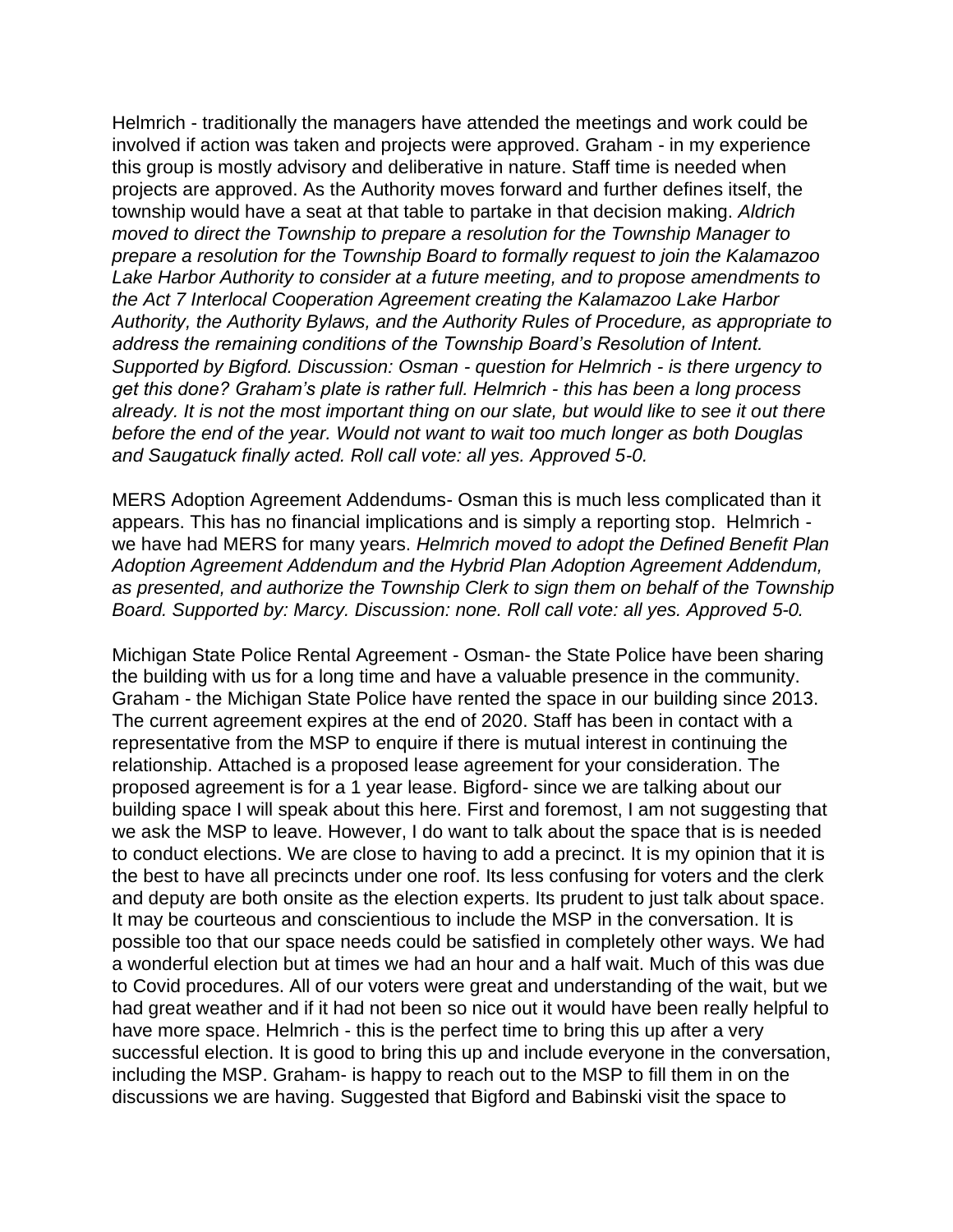Helmrich - traditionally the managers have attended the meetings and work could be involved if action was taken and projects were approved. Graham - in my experience this group is mostly advisory and deliberative in nature. Staff time is needed when projects are approved. As the Authority moves forward and further defines itself, the township would have a seat at that table to partake in that decision making. *Aldrich moved to direct the Township to prepare a resolution for the Township Manager to prepare a resolution for the Township Board to formally request to join the Kalamazoo Lake Harbor Authority to consider at a future meeting, and to propose amendments to the Act 7 Interlocal Cooperation Agreement creating the Kalamazoo Lake Harbor Authority, the Authority Bylaws, and the Authority Rules of Procedure, as appropriate to address the remaining conditions of the Township Board's Resolution of Intent. Supported by Bigford. Discussion: Osman - question for Helmrich - is there urgency to get this done? Graham's plate is rather full. Helmrich - this has been a long process already. It is not the most important thing on our slate, but would like to see it out there before the end of the year. Would not want to wait too much longer as both Douglas and Saugatuck finally acted. Roll call vote: all yes. Approved 5-0.*

MERS Adoption Agreement Addendums- Osman this is much less complicated than it appears. This has no financial implications and is simply a reporting stop. Helmrich we have had MERS for many years. *Helmrich moved to adopt the Defined Benefit Plan Adoption Agreement Addendum and the Hybrid Plan Adoption Agreement Addendum, as presented, and authorize the Township Clerk to sign them on behalf of the Township Board. Supported by: Marcy. Discussion: none. Roll call vote: all yes. Approved 5-0.*

Michigan State Police Rental Agreement - Osman- the State Police have been sharing the building with us for a long time and have a valuable presence in the community. Graham - the Michigan State Police have rented the space in our building since 2013. The current agreement expires at the end of 2020. Staff has been in contact with a representative from the MSP to enquire if there is mutual interest in continuing the relationship. Attached is a proposed lease agreement for your consideration. The proposed agreement is for a 1 year lease. Bigford- since we are talking about our building space I will speak about this here. First and foremost, I am not suggesting that we ask the MSP to leave. However, I do want to talk about the space that is is needed to conduct elections. We are close to having to add a precinct. It is my opinion that it is the best to have all precincts under one roof. Its less confusing for voters and the clerk and deputy are both onsite as the election experts. Its prudent to just talk about space. It may be courteous and conscientious to include the MSP in the conversation. It is possible too that our space needs could be satisfied in completely other ways. We had a wonderful election but at times we had an hour and a half wait. Much of this was due to Covid procedures. All of our voters were great and understanding of the wait, but we had great weather and if it had not been so nice out it would have been really helpful to have more space. Helmrich - this is the perfect time to bring this up after a very successful election. It is good to bring this up and include everyone in the conversation, including the MSP. Graham- is happy to reach out to the MSP to fill them in on the discussions we are having. Suggested that Bigford and Babinski visit the space to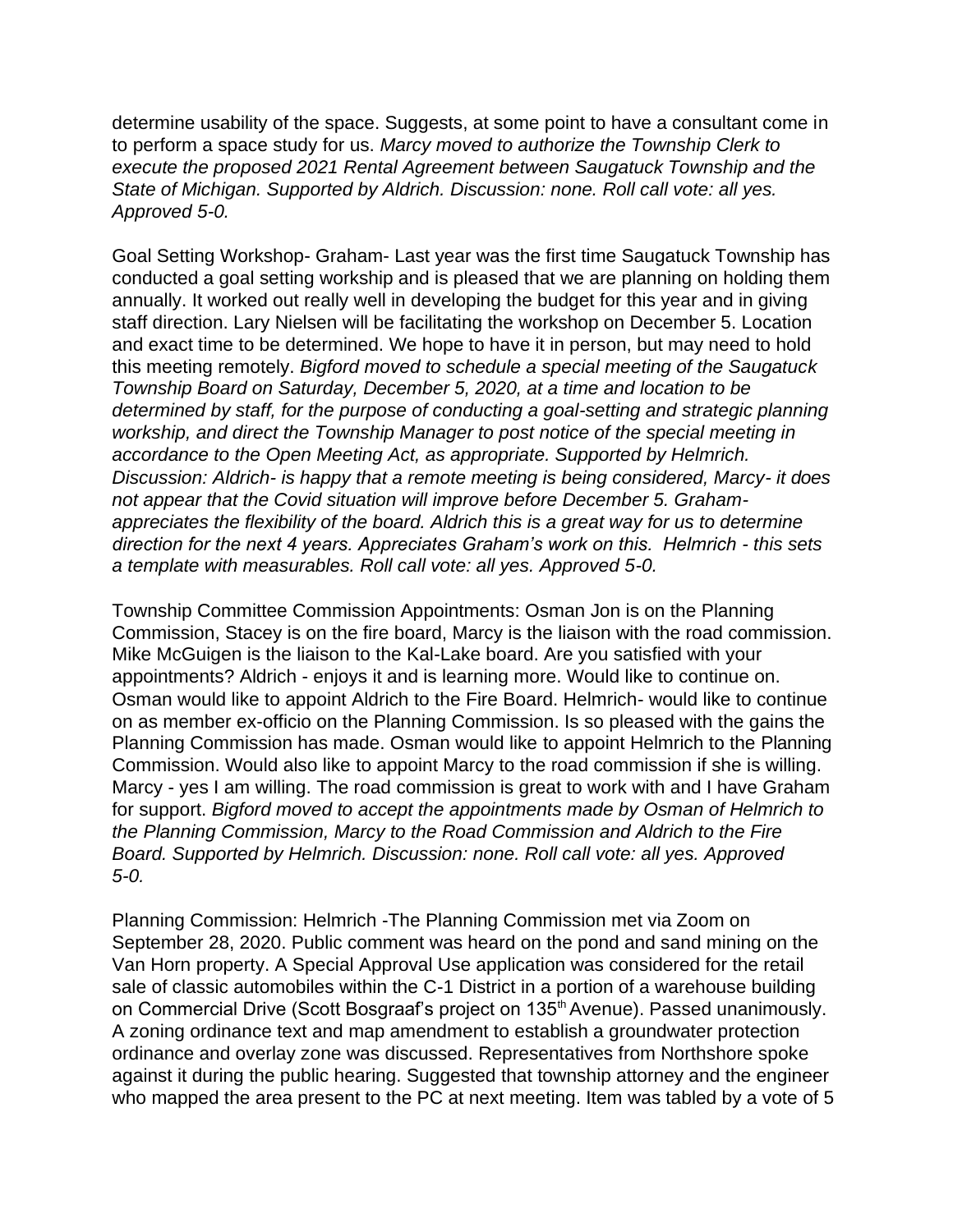determine usability of the space. Suggests, at some point to have a consultant come in to perform a space study for us. *Marcy moved to authorize the Township Clerk to execute the proposed 2021 Rental Agreement between Saugatuck Township and the State of Michigan. Supported by Aldrich. Discussion: none. Roll call vote: all yes. Approved 5-0.*

Goal Setting Workshop- Graham- Last year was the first time Saugatuck Township has conducted a goal setting workship and is pleased that we are planning on holding them annually. It worked out really well in developing the budget for this year and in giving staff direction. Lary Nielsen will be facilitating the workshop on December 5. Location and exact time to be determined. We hope to have it in person, but may need to hold this meeting remotely. *Bigford moved to schedule a special meeting of the Saugatuck Township Board on Saturday, December 5, 2020, at a time and location to be determined by staff, for the purpose of conducting a goal-setting and strategic planning workship, and direct the Township Manager to post notice of the special meeting in accordance to the Open Meeting Act, as appropriate. Supported by Helmrich. Discussion: Aldrich- is happy that a remote meeting is being considered, Marcy- it does not appear that the Covid situation will improve before December 5. Grahamappreciates the flexibility of the board. Aldrich this is a great way for us to determine direction for the next 4 years. Appreciates Graham's work on this. Helmrich - this sets a template with measurables. Roll call vote: all yes. Approved 5-0.*

Township Committee Commission Appointments: Osman Jon is on the Planning Commission, Stacey is on the fire board, Marcy is the liaison with the road commission. Mike McGuigen is the liaison to the Kal-Lake board. Are you satisfied with your appointments? Aldrich - enjoys it and is learning more. Would like to continue on. Osman would like to appoint Aldrich to the Fire Board. Helmrich- would like to continue on as member ex-officio on the Planning Commission. Is so pleased with the gains the Planning Commission has made. Osman would like to appoint Helmrich to the Planning Commission. Would also like to appoint Marcy to the road commission if she is willing. Marcy - yes I am willing. The road commission is great to work with and I have Graham for support. *Bigford moved to accept the appointments made by Osman of Helmrich to the Planning Commission, Marcy to the Road Commission and Aldrich to the Fire Board. Supported by Helmrich. Discussion: none. Roll call vote: all yes. Approved 5-0.*

Planning Commission: Helmrich -The Planning Commission met via Zoom on September 28, 2020. Public comment was heard on the pond and sand mining on the Van Horn property. A Special Approval Use application was considered for the retail sale of classic automobiles within the C-1 District in a portion of a warehouse building on Commercial Drive (Scott Bosgraaf's project on 135<sup>th</sup> Avenue). Passed unanimously. A zoning ordinance text and map amendment to establish a groundwater protection ordinance and overlay zone was discussed. Representatives from Northshore spoke against it during the public hearing. Suggested that township attorney and the engineer who mapped the area present to the PC at next meeting. Item was tabled by a vote of 5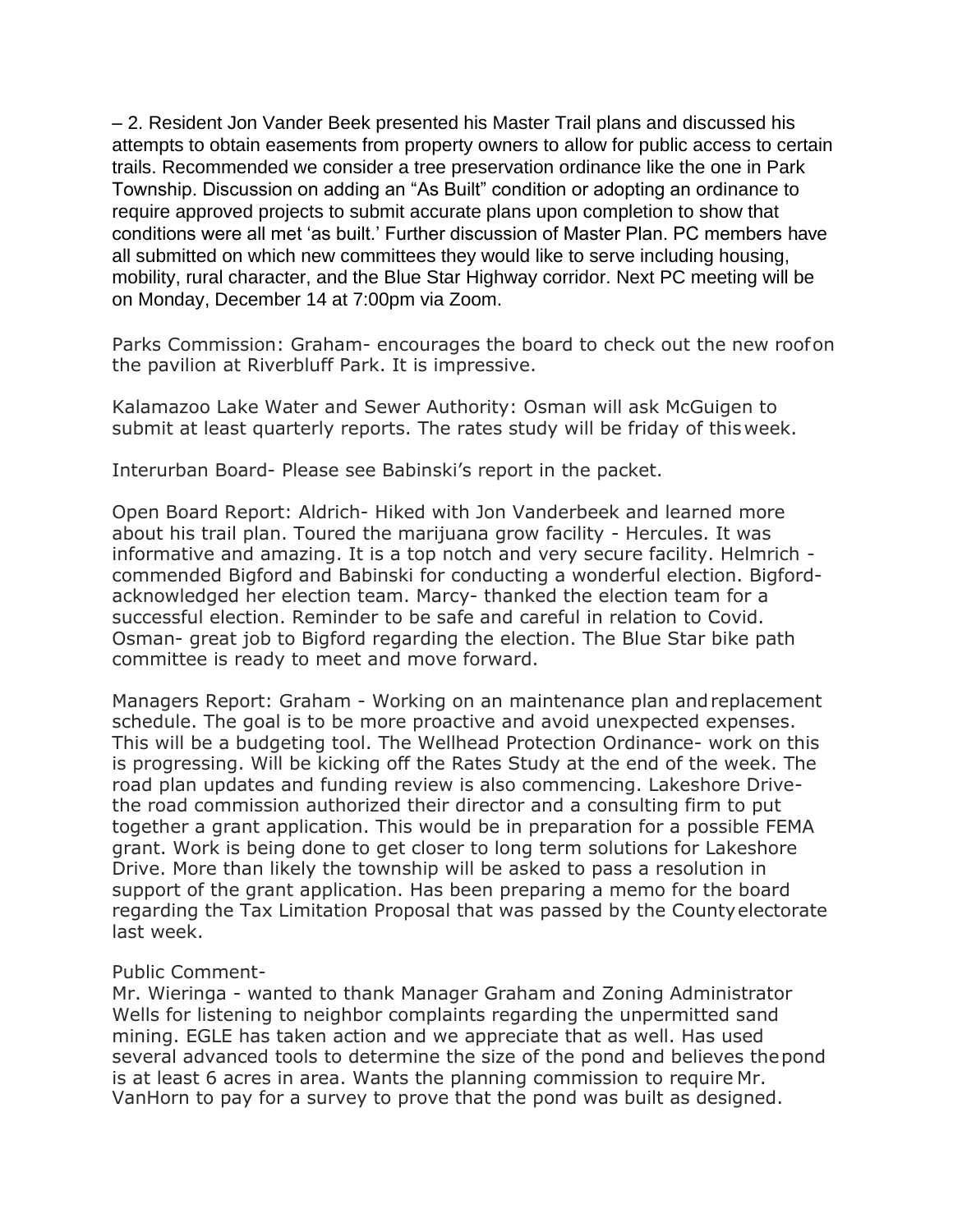– 2. Resident Jon Vander Beek presented his Master Trail plans and discussed his attempts to obtain easements from property owners to allow for public access to certain trails. Recommended we consider a tree preservation ordinance like the one in Park Township. Discussion on adding an "As Built" condition or adopting an ordinance to require approved projects to submit accurate plans upon completion to show that conditions were all met 'as built.' Further discussion of Master Plan. PC members have all submitted on which new committees they would like to serve including housing, mobility, rural character, and the Blue Star Highway corridor. Next PC meeting will be on Monday, December 14 at 7:00pm via Zoom.

Parks Commission: Graham- encourages the board to check out the new roofon the pavilion at Riverbluff Park. It is impressive.

Kalamazoo Lake Water and Sewer Authority: Osman will ask McGuigen to submit at least quarterly reports. The rates study will be friday of thisweek.

Interurban Board- Please see Babinski's report in the packet.

Open Board Report: Aldrich- Hiked with Jon Vanderbeek and learned more about his trail plan. Toured the marijuana grow facility - Hercules. It was informative and amazing. It is a top notch and very secure facility. Helmrich commended Bigford and Babinski for conducting a wonderful election. Bigfordacknowledged her election team. Marcy- thanked the election team for a successful election. Reminder to be safe and careful in relation to Covid. Osman- great job to Bigford regarding the election. The Blue Star bike path committee is ready to meet and move forward.

Managers Report: Graham - Working on an maintenance plan andreplacement schedule. The goal is to be more proactive and avoid unexpected expenses. This will be a budgeting tool. The Wellhead Protection Ordinance- work on this is progressing. Will be kicking off the Rates Study at the end of the week. The road plan updates and funding review is also commencing. Lakeshore Drivethe road commission authorized their director and a consulting firm to put together a grant application. This would be in preparation for a possible FEMA grant. Work is being done to get closer to long term solutions for Lakeshore Drive. More than likely the township will be asked to pass a resolution in support of the grant application. Has been preparing a memo for the board regarding the Tax Limitation Proposal that was passed by the Countyelectorate last week.

## Public Comment-

Mr. Wieringa - wanted to thank Manager Graham and Zoning Administrator Wells for listening to neighbor complaints regarding the unpermitted sand mining. EGLE has taken action and we appreciate that as well. Has used several advanced tools to determine the size of the pond and believes thepond is at least 6 acres in area. Wants the planning commission to require Mr. VanHorn to pay for a survey to prove that the pond was built as designed.